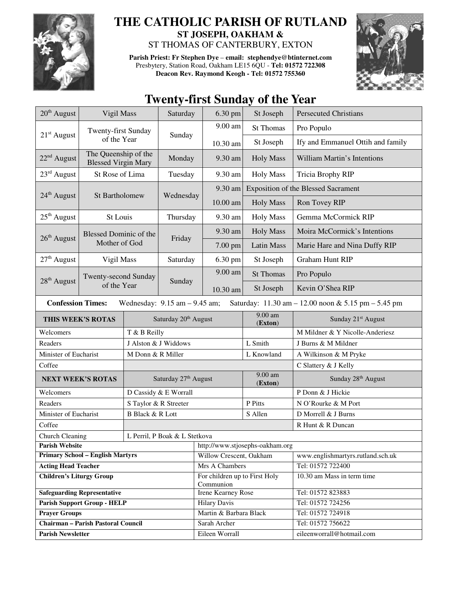

## **THE CATHOLIC PARISH OF RUTLAND ST JOSEPH, OAKHAM &**

ST THOMAS OF CANTERBURY, EXTON

**Parish Priest: Fr Stephen Dye** – **email: stephendye@btinternet.com** Presbytery, Station Road, Oakham LE15 6QU - **Tel: 01572 722308 Deacon Rev. Raymond Keogh - Tel: 01572 755360** 



## **Twenty-first Sunday of the Year**

| $20th$ August                                                                                                        | Vigil Mass                                         |                                  | Saturday                         | 6.30 pm                                    | St Joseph            | <b>Persecuted Christians</b>               |  |  |
|----------------------------------------------------------------------------------------------------------------------|----------------------------------------------------|----------------------------------|----------------------------------|--------------------------------------------|----------------------|--------------------------------------------|--|--|
|                                                                                                                      | Twenty-first Sunday                                |                                  | Sunday                           | 9.00 am                                    | <b>St Thomas</b>     | Pro Populo                                 |  |  |
| $21st$ August                                                                                                        |                                                    | of the Year                      |                                  | 10.30 am                                   | St Joseph            | Ify and Emmanuel Ottih and family          |  |  |
| $22nd$ August                                                                                                        | The Queenship of the<br><b>Blessed Virgin Mary</b> |                                  | Monday                           | 9.30 am                                    | <b>Holy Mass</b>     | William Martin's Intentions                |  |  |
| $23rd$ August                                                                                                        | St Rose of Lima                                    |                                  | Tuesday                          | 9.30 am                                    | <b>Holy Mass</b>     | Tricia Brophy RIP                          |  |  |
|                                                                                                                      | St Bartholomew                                     |                                  | Wednesday                        | 9.30 am                                    |                      | <b>Exposition of the Blessed Sacrament</b> |  |  |
| 24 <sup>th</sup> August                                                                                              |                                                    |                                  |                                  | $10.00$ am                                 | <b>Holy Mass</b>     | Ron Tovey RIP                              |  |  |
| $25th$ August                                                                                                        | St Louis                                           |                                  | Thursday                         | 9.30 am                                    | <b>Holy Mass</b>     | Gemma McCormick RIP                        |  |  |
| $26th$ August                                                                                                        | <b>Blessed Dominic of the</b><br>Mother of God     |                                  | Friday                           | 9.30 am                                    | <b>Holy Mass</b>     | Moira McCormick's Intentions               |  |  |
|                                                                                                                      |                                                    |                                  |                                  | 7.00 pm                                    | Latin Mass           | Marie Hare and Nina Duffy RIP              |  |  |
| $27th$ August                                                                                                        | Vigil Mass                                         |                                  | Saturday                         | 6.30 pm                                    | St Joseph            | <b>Graham Hunt RIP</b>                     |  |  |
|                                                                                                                      | Twenty-second Sunday                               |                                  |                                  | 9.00 am                                    | <b>St Thomas</b>     | Pro Populo                                 |  |  |
| 28 <sup>th</sup> August                                                                                              | of the Year                                        |                                  | Sunday                           | 10.30 am                                   | St Joseph            | Kevin O'Shea RIP                           |  |  |
| <b>Confession Times:</b><br>Wednesday: $9.15$ am $- 9.45$ am;<br>Saturday: 11.30 am - 12.00 noon & 5.15 pm - 5.45 pm |                                                    |                                  |                                  |                                            |                      |                                            |  |  |
| THIS WEEK'S ROTAS                                                                                                    |                                                    |                                  | Saturday 20 <sup>th</sup> August |                                            | $9.00$ am<br>(Exton) | Sunday 21 <sup>st</sup> August             |  |  |
| Welcomers<br>T & B Reilly                                                                                            |                                                    |                                  |                                  |                                            |                      | M Mildner & Y Nicolle-Anderiesz            |  |  |
| Readers                                                                                                              |                                                    |                                  | J Alston & J Widdows             |                                            | L Smith              | J Burns & M Mildner                        |  |  |
| Minister of Eucharist                                                                                                |                                                    | M Donn & R Miller                |                                  |                                            | L Knowland           | A Wilkinson & M Pryke                      |  |  |
| Coffee                                                                                                               |                                                    |                                  |                                  |                                            |                      | C Slattery & J Kelly                       |  |  |
| <b>NEXT WEEK'S ROTAS</b>                                                                                             |                                                    | Saturday 27 <sup>th</sup> August |                                  |                                            | 9.00 am<br>(Exton)   | Sunday 28 <sup>th</sup> August             |  |  |
| Welcomers                                                                                                            |                                                    | D Cassidy & E Worrall            |                                  |                                            |                      | P Donn & J Hickie                          |  |  |
| Readers                                                                                                              |                                                    | S Taylor & R Streeter            |                                  |                                            | P Pitts              | N O'Rourke & M Port                        |  |  |
| Minister of Eucharist                                                                                                |                                                    | <b>B</b> Black & R Lott          |                                  |                                            | S Allen              | D Morrell & J Burns                        |  |  |
| Coffee                                                                                                               |                                                    |                                  |                                  |                                            | R Hunt & R Duncan    |                                            |  |  |
| <b>Church Cleaning</b>                                                                                               |                                                    |                                  | L Perril, P Boak & L Stetkova    |                                            |                      |                                            |  |  |
| <b>Parish Website</b>                                                                                                |                                                    |                                  |                                  | http://www.stjosephs-oakham.org            |                      |                                            |  |  |
| <b>Primary School - English Martyrs</b>                                                                              |                                                    |                                  |                                  | Willow Crescent, Oakham                    |                      | www.englishmartyrs.rutland.sch.uk          |  |  |
| <b>Acting Head Teacher</b>                                                                                           |                                                    |                                  |                                  | Mrs A Chambers                             |                      | Tel: 01572 722400                          |  |  |
| <b>Children's Liturgy Group</b>                                                                                      |                                                    |                                  |                                  | For children up to First Holy<br>Communion |                      | 10.30 am Mass in term time                 |  |  |
| <b>Safeguarding Representative</b>                                                                                   |                                                    |                                  |                                  | Irene Kearney Rose                         |                      | Tel: 01572 823883                          |  |  |
| <b>Parish Support Group - HELP</b>                                                                                   |                                                    |                                  |                                  | <b>Hilary Davis</b>                        |                      | Tel: 01572 724256                          |  |  |
| <b>Prayer Groups</b>                                                                                                 |                                                    |                                  |                                  | Martin & Barbara Black                     |                      | Tel: 01572 724918                          |  |  |
| <b>Chairman - Parish Pastoral Council</b>                                                                            |                                                    |                                  |                                  | Sarah Archer                               |                      | Tel: 01572 756622                          |  |  |
| <b>Parish Newsletter</b>                                                                                             |                                                    |                                  |                                  | Eileen Worrall                             |                      | eileenworrall@hotmail.com                  |  |  |